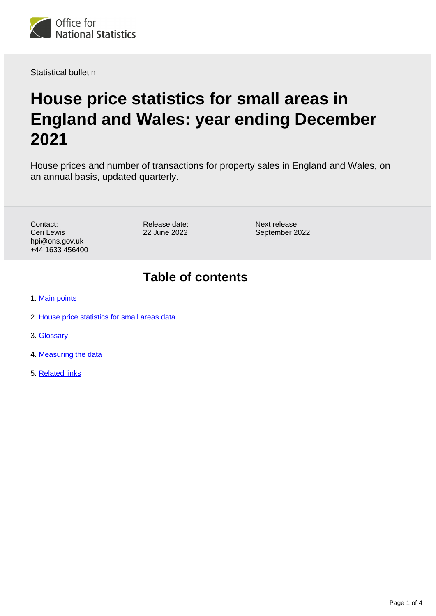

Statistical bulletin

# **House price statistics for small areas in England and Wales: year ending December 2021**

House prices and number of transactions for property sales in England and Wales, on an annual basis, updated quarterly.

Contact: Ceri Lewis hpi@ons.gov.uk +44 1633 456400 Release date: 22 June 2022

Next release: September 2022

### **Table of contents**

- 1. [Main points](#page-1-0)
- 2. [House price statistics for small areas data](#page-1-1)
- 3. [Glossary](#page-1-2)
- 4. [Measuring the data](#page-2-0)
- 5. [Related links](#page-3-0)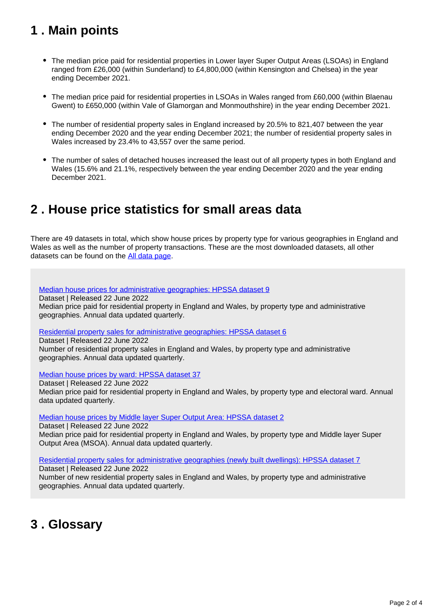## <span id="page-1-0"></span>**1 . Main points**

- The median price paid for residential properties in Lower layer Super Output Areas (LSOAs) in England ranged from £26,000 (within Sunderland) to £4,800,000 (within Kensington and Chelsea) in the year ending December 2021.
- The median price paid for residential properties in LSOAs in Wales ranged from £60,000 (within Blaenau Gwent) to £650,000 (within Vale of Glamorgan and Monmouthshire) in the year ending December 2021.
- The number of residential property sales in England increased by 20.5% to 821,407 between the year ending December 2020 and the year ending December 2021; the number of residential property sales in Wales increased by 23.4% to 43,557 over the same period.
- The number of sales of detached houses increased the least out of all property types in both England and Wales (15.6% and 21.1%, respectively between the year ending December 2020 and the year ending December 2021.

### <span id="page-1-1"></span>**2 . House price statistics for small areas data**

There are 49 datasets in total, which show house prices by property type for various geographies in England and Wales as well as the number of property transactions. These are the most downloaded datasets, all other datasets can be found on the [All data page.](https://www.ons.gov.uk/peoplepopulationandcommunity/housing/bulletins/housepricestatisticsforsmallareas/yearendingdecember2021/relateddata)

[Median house prices for administrative geographies: HPSSA dataset 9](https://www.ons.gov.uk/peoplepopulationandcommunity/housing/datasets/medianhousepricefornationalandsubnationalgeographiesquarterlyrollingyearhpssadataset09)

Dataset | Released 22 June 2022

Median price paid for residential property in England and Wales, by property type and administrative geographies. Annual data updated quarterly.

[Residential property sales for administrative geographies: HPSSA dataset 6](https://www.ons.gov.uk/peoplepopulationandcommunity/housing/datasets/numberofresidentialpropertysalesfornationalandsubnationalgeographiesquarterlyrollingyearhpssadataset06)

Dataset | Released 22 June 2022

Number of residential property sales in England and Wales, by property type and administrative geographies. Annual data updated quarterly.

[Median house prices by ward: HPSSA dataset 37](https://www.ons.gov.uk/peoplepopulationandcommunity/housing/datasets/medianpricepaidbywardhpssadataset37)

Dataset | Released 22 June 2022 Median price paid for residential property in England and Wales, by property type and electoral ward. Annual data updated quarterly.

[Median house prices by Middle layer Super Output Area: HPSSA dataset 2](https://www.ons.gov.uk/peoplepopulationandcommunity/housing/datasets/hpssadataset2medianhousepricebymsoaquarterlyrollingyear)

Dataset | Released 22 June 2022 Median price paid for residential property in England and Wales, by property type and Middle layer Super Output Area (MSOA). Annual data updated quarterly.

[Residential property sales for administrative geographies \(newly built dwellings\): HPSSA dataset 7](https://www.ons.gov.uk/peoplepopulationandcommunity/housing/datasets/numberofresidentialpropertysalesfornationalandsubnationalgeographiesnewlybuiltdwellingsquarterlyrollingyearhpssadataset07) Dataset | Released 22 June 2022

Number of new residential property sales in England and Wales, by property type and administrative geographies. Annual data updated quarterly.

### <span id="page-1-2"></span>**3 . Glossary**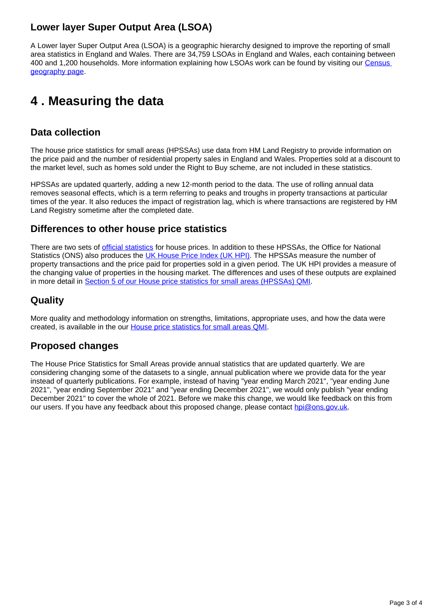### **Lower layer Super Output Area (LSOA)**

A Lower layer Super Output Area (LSOA) is a geographic hierarchy designed to improve the reporting of small area statistics in England and Wales. There are 34,759 LSOAs in England and Wales, each containing between 400 and 1,200 households. More information explaining how LSOAs work can be found by visiting our [Census](https://www.ons.gov.uk/methodology/geography/ukgeographies/censusgeography)  [geography page.](https://www.ons.gov.uk/methodology/geography/ukgeographies/censusgeography)

## <span id="page-2-0"></span>**4 . Measuring the data**

#### **Data collection**

The house price statistics for small areas (HPSSAs) use data from HM Land Registry to provide information on the price paid and the number of residential property sales in England and Wales. Properties sold at a discount to the market level, such as homes sold under the Right to Buy scheme, are not included in these statistics.

HPSSAs are updated quarterly, adding a new 12-month period to the data. The use of rolling annual data removes seasonal effects, which is a term referring to peaks and troughs in property transactions at particular times of the year. It also reduces the impact of registration lag, which is where transactions are registered by HM Land Registry sometime after the completed date.

#### **Differences to other house price statistics**

There are two sets of *official statistics* for house prices. In addition to these HPSSAs, the Office for National Statistics (ONS) also produces the [UK House Price Index \(UK HPI\)](https://www.ons.gov.uk/economy/inflationandpriceindices/bulletins/housepriceindex/previousReleases). The HPSSAs measure the number of property transactions and the price paid for properties sold in a given period. The UK HPI provides a measure of the changing value of properties in the housing market. The differences and uses of these outputs are explained in more detail in [Section 5 of our House price statistics for small areas \(HPSSAs\) QMI](https://www.ons.gov.uk/peoplepopulationandcommunity/housing/methodologies/housepricestatisticsforsmallareasqmi#quality-characteristics-of-the-data).

### **Quality**

More quality and methodology information on strengths, limitations, appropriate uses, and how the data were created, is available in the our [House price statistics for small areas QMI.](https://www.ons.gov.uk/peoplepopulationandcommunity/housing/methodologies/housepricestatisticsforsmallareasqmi)

### **Proposed changes**

The House Price Statistics for Small Areas provide annual statistics that are updated quarterly. We are considering changing some of the datasets to a single, annual publication where we provide data for the year instead of quarterly publications. For example, instead of having "year ending March 2021", "year ending June 2021", "year ending September 2021" and "year ending December 2021", we would only publish "year ending December 2021" to cover the whole of 2021. Before we make this change, we would like feedback on this from our users. If you have any feedback about this proposed change, please contact [hpi@ons.gov.uk.](mailto:hpi@ons.gov.uk)